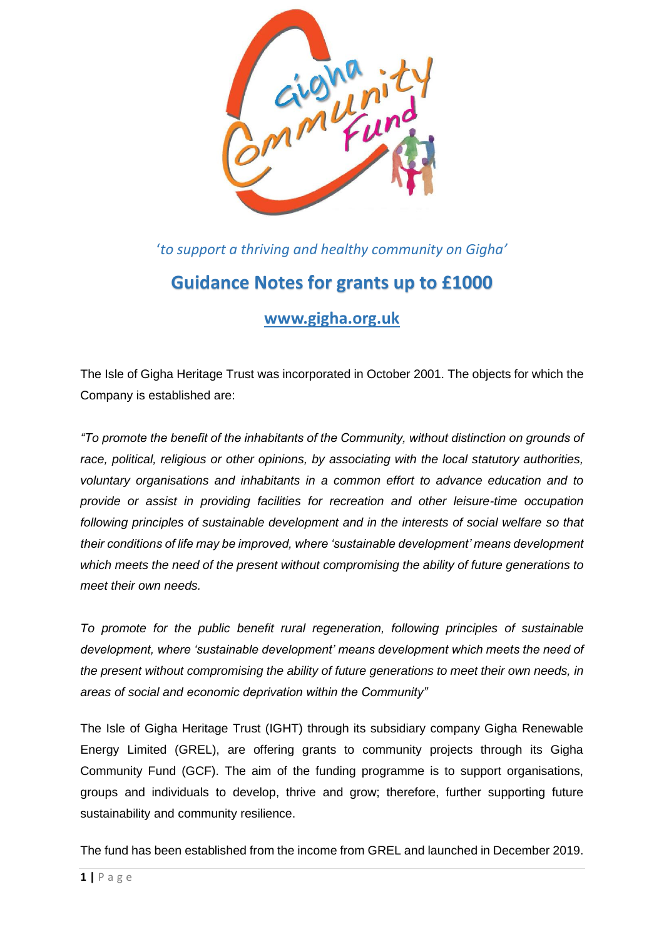

'*to support a thriving and healthy community on Gigha'*

# **Guidance Notes for grants up to £1000**

# **[www.gigha.org.uk](http://www.gigha.org.uk/)**

The Isle of Gigha Heritage Trust was incorporated in October 2001. The objects for which the Company is established are:

*"To promote the benefit of the inhabitants of the Community, without distinction on grounds of race, political, religious or other opinions, by associating with the local statutory authorities, voluntary organisations and inhabitants in a common effort to advance education and to provide or assist in providing facilities for recreation and other leisure-time occupation following principles of sustainable development and in the interests of social welfare so that their conditions of life may be improved, where 'sustainable development' means development which meets the need of the present without compromising the ability of future generations to meet their own needs.* 

*To promote for the public benefit rural regeneration, following principles of sustainable development, where 'sustainable development' means development which meets the need of the present without compromising the ability of future generations to meet their own needs, in areas of social and economic deprivation within the Community"*

The Isle of Gigha Heritage Trust (IGHT) through its subsidiary company Gigha Renewable Energy Limited (GREL), are offering grants to community projects through its Gigha Community Fund (GCF). The aim of the funding programme is to support organisations, groups and individuals to develop, thrive and grow; therefore, further supporting future sustainability and community resilience.

The fund has been established from the income from GREL and launched in December 2019.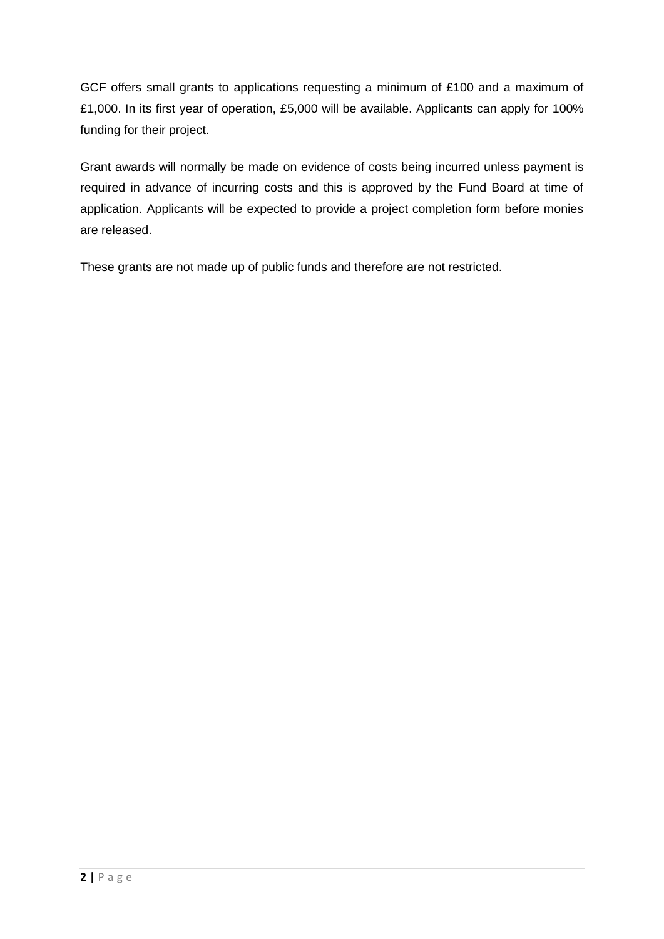GCF offers small grants to applications requesting a minimum of £100 and a maximum of £1,000. In its first year of operation, £5,000 will be available. Applicants can apply for 100% funding for their project.

Grant awards will normally be made on evidence of costs being incurred unless payment is required in advance of incurring costs and this is approved by the Fund Board at time of application. Applicants will be expected to provide a project completion form before monies are released.

These grants are not made up of public funds and therefore are not restricted.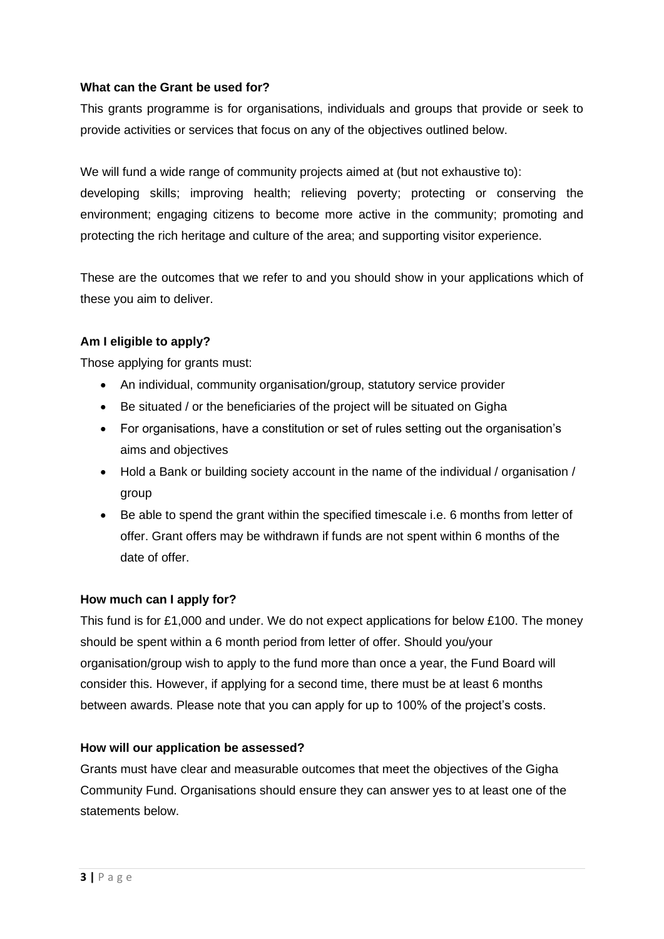# **What can the Grant be used for?**

This grants programme is for organisations, individuals and groups that provide or seek to provide activities or services that focus on any of the objectives outlined below.

We will fund a wide range of community projects aimed at (but not exhaustive to):

developing skills; improving health; relieving poverty; protecting or conserving the environment; engaging citizens to become more active in the community; promoting and protecting the rich heritage and culture of the area; and supporting visitor experience.

These are the outcomes that we refer to and you should show in your applications which of these you aim to deliver.

# **Am I eligible to apply?**

Those applying for grants must:

- An individual, community organisation/group, statutory service provider
- Be situated / or the beneficiaries of the project will be situated on Gigha
- For organisations, have a constitution or set of rules setting out the organisation's aims and objectives
- Hold a Bank or building society account in the name of the individual / organisation / group
- Be able to spend the grant within the specified timescale i.e. 6 months from letter of offer. Grant offers may be withdrawn if funds are not spent within 6 months of the date of offer.

# **How much can I apply for?**

This fund is for £1,000 and under. We do not expect applications for below £100. The money should be spent within a 6 month period from letter of offer. Should you/your organisation/group wish to apply to the fund more than once a year, the Fund Board will consider this. However, if applying for a second time, there must be at least 6 months between awards. Please note that you can apply for up to 100% of the project's costs.

# **How will our application be assessed?**

Grants must have clear and measurable outcomes that meet the objectives of the Gigha Community Fund. Organisations should ensure they can answer yes to at least one of the statements below.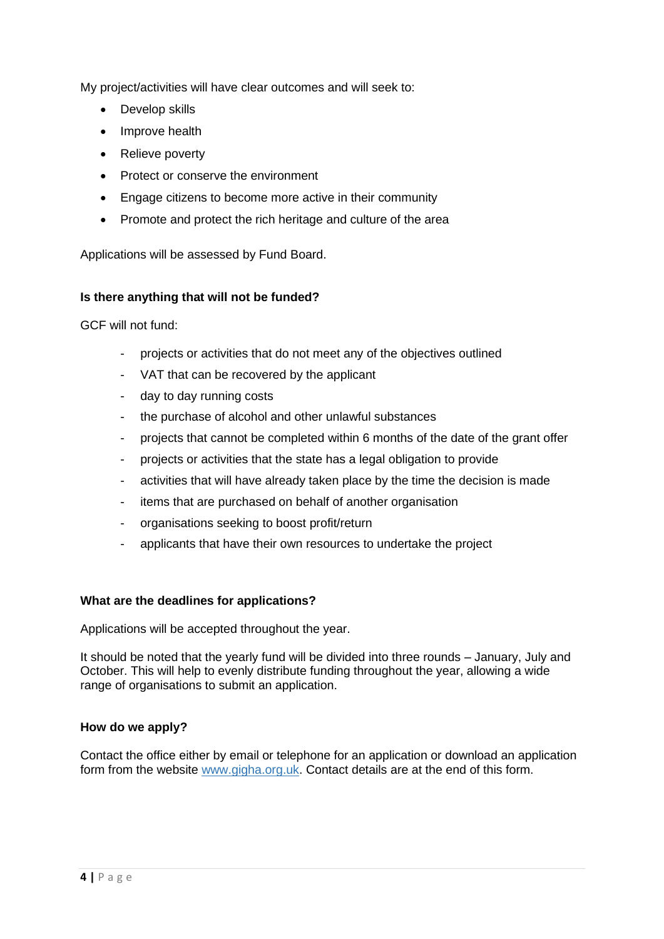My project/activities will have clear outcomes and will seek to:

- Develop skills
- Improve health
- Relieve poverty
- Protect or conserve the environment
- Engage citizens to become more active in their community
- Promote and protect the rich heritage and culture of the area

Applications will be assessed by Fund Board.

# **Is there anything that will not be funded?**

GCF will not fund:

- projects or activities that do not meet any of the objectives outlined
- VAT that can be recovered by the applicant
- day to day running costs
- the purchase of alcohol and other unlawful substances
- projects that cannot be completed within 6 months of the date of the grant offer
- projects or activities that the state has a legal obligation to provide
- activities that will have already taken place by the time the decision is made
- items that are purchased on behalf of another organisation
- organisations seeking to boost profit/return
- applicants that have their own resources to undertake the project

#### **What are the deadlines for applications?**

Applications will be accepted throughout the year.

It should be noted that the yearly fund will be divided into three rounds – January, July and October. This will help to evenly distribute funding throughout the year, allowing a wide range of organisations to submit an application.

#### **How do we apply?**

Contact the office either by email or telephone for an application or download an application form from the website [www.gigha.org.uk.](http://www.gigha.org.uk/) Contact details are at the end of this form.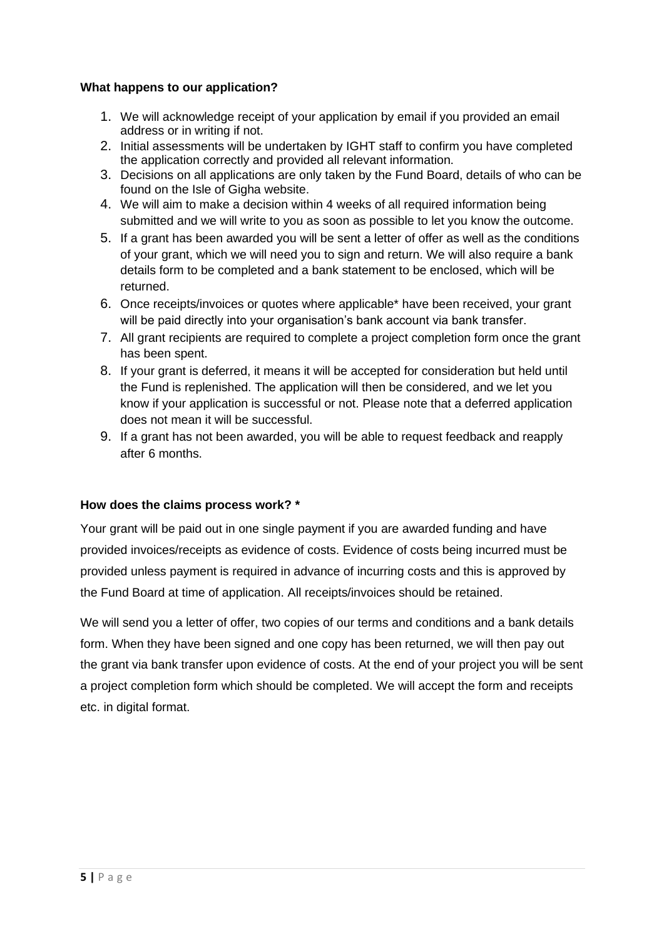#### **What happens to our application?**

- 1. We will acknowledge receipt of your application by email if you provided an email address or in writing if not.
- 2. Initial assessments will be undertaken by IGHT staff to confirm you have completed the application correctly and provided all relevant information.
- 3. Decisions on all applications are only taken by the Fund Board, details of who can be found on the Isle of Gigha website.
- 4. We will aim to make a decision within 4 weeks of all required information being submitted and we will write to you as soon as possible to let you know the outcome.
- 5. If a grant has been awarded you will be sent a letter of offer as well as the conditions of your grant, which we will need you to sign and return. We will also require a bank details form to be completed and a bank statement to be enclosed, which will be returned.
- 6. Once receipts/invoices or quotes where applicable\* have been received, your grant will be paid directly into your organisation's bank account via bank transfer.
- 7. All grant recipients are required to complete a project completion form once the grant has been spent.
- 8. If your grant is deferred, it means it will be accepted for consideration but held until the Fund is replenished. The application will then be considered, and we let you know if your application is successful or not. Please note that a deferred application does not mean it will be successful.
- 9. If a grant has not been awarded, you will be able to request feedback and reapply after 6 months.

#### **How does the claims process work? \***

Your grant will be paid out in one single payment if you are awarded funding and have provided invoices/receipts as evidence of costs. Evidence of costs being incurred must be provided unless payment is required in advance of incurring costs and this is approved by the Fund Board at time of application. All receipts/invoices should be retained.

We will send you a letter of offer, two copies of our terms and conditions and a bank details form. When they have been signed and one copy has been returned, we will then pay out the grant via bank transfer upon evidence of costs. At the end of your project you will be sent a project completion form which should be completed. We will accept the form and receipts etc. in digital format.